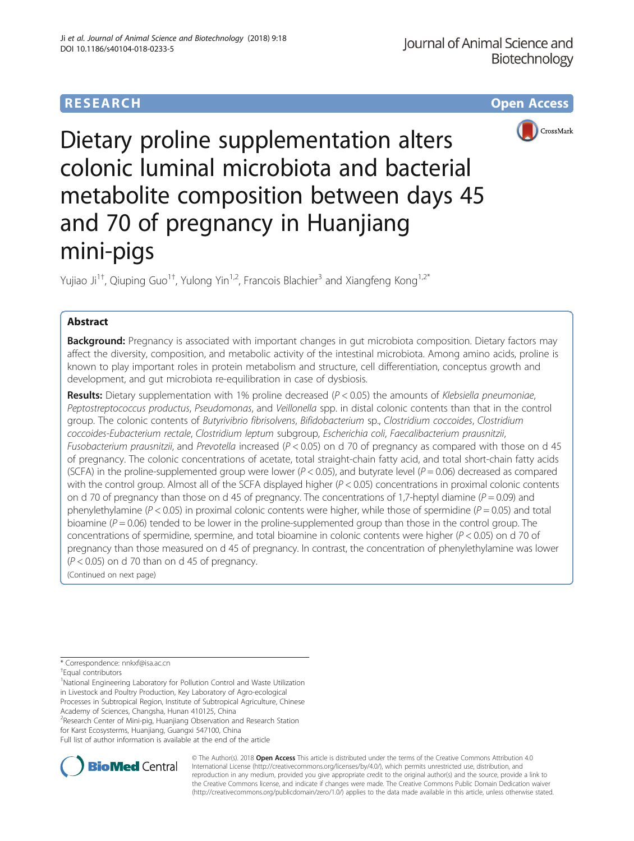# **RESEARCH CHE Open Access**



Dietary proline supplementation alters colonic luminal microbiota and bacterial metabolite composition between days 45 and 70 of pregnancy in Huanjiang mini-pigs

Yujiao Ji<sup>1+</sup>, Qiuping Guo<sup>1+</sup>, Yulong Yin<sup>1,2</sup>, Francois Blachier<sup>3</sup> and Xiangfeng Kong<sup>1,2\*</sup>

# Abstract

Background: Pregnancy is associated with important changes in gut microbiota composition. Dietary factors may affect the diversity, composition, and metabolic activity of the intestinal microbiota. Among amino acids, proline is known to play important roles in protein metabolism and structure, cell differentiation, conceptus growth and development, and gut microbiota re-equilibration in case of dysbiosis.

**Results:** Dietary supplementation with 1% proline decreased ( $P < 0.05$ ) the amounts of Klebsiella pneumoniae, Peptostreptococcus productus, Pseudomonas, and Veillonella spp. in distal colonic contents than that in the control group. The colonic contents of Butyrivibrio fibrisolvens, Bifidobacterium sp., Clostridium coccoides, Clostridium coccoides-Eubacterium rectale, Clostridium leptum subgroup, Escherichia coli, Faecalibacterium prausnitzii, Fusobacterium prausnitzii, and Prevotella increased ( $P < 0.05$ ) on d 70 of pregnancy as compared with those on d 45 of pregnancy. The colonic concentrations of acetate, total straight-chain fatty acid, and total short-chain fatty acids (SCFA) in the proline-supplemented group were lower ( $P < 0.05$ ), and butyrate level ( $P = 0.06$ ) decreased as compared with the control group. Almost all of the SCFA displayed higher ( $P < 0.05$ ) concentrations in proximal colonic contents on d 70 of pregnancy than those on d 45 of pregnancy. The concentrations of 1,7-heptyl diamine ( $P = 0.09$ ) and phenylethylamine ( $P < 0.05$ ) in proximal colonic contents were higher, while those of spermidine ( $P = 0.05$ ) and total bioamine ( $P = 0.06$ ) tended to be lower in the proline-supplemented group than those in the control group. The concentrations of spermidine, spermine, and total bioamine in colonic contents were higher (P < 0.05) on d 70 of pregnancy than those measured on d 45 of pregnancy. In contrast, the concentration of phenylethylamine was lower  $(P < 0.05)$  on d 70 than on d 45 of pregnancy.

(Continued on next page)

\* Correspondence: [nnkxf@isa.ac.cn](mailto:nnkxf@isa.ac.cn) †

Equal contributors

<sup>1</sup>National Engineering Laboratory for Pollution Control and Waste Utilization in Livestock and Poultry Production, Key Laboratory of Agro-ecological Processes in Subtropical Region, Institute of Subtropical Agriculture, Chinese Academy of Sciences, Changsha, Hunan 410125, China

<sup>2</sup> Research Center of Mini-pig, Huanjiang Observation and Research Station for Karst Ecosysterms, Huanjiang, Guangxi 547100, China

Full list of author information is available at the end of the article



© The Author(s). 2018 Open Access This article is distributed under the terms of the Creative Commons Attribution 4.0 International License [\(http://creativecommons.org/licenses/by/4.0/](http://creativecommons.org/licenses/by/4.0/)), which permits unrestricted use, distribution, and reproduction in any medium, provided you give appropriate credit to the original author(s) and the source, provide a link to the Creative Commons license, and indicate if changes were made. The Creative Commons Public Domain Dedication waiver [\(http://creativecommons.org/publicdomain/zero/1.0/](http://creativecommons.org/publicdomain/zero/1.0/)) applies to the data made available in this article, unless otherwise stated.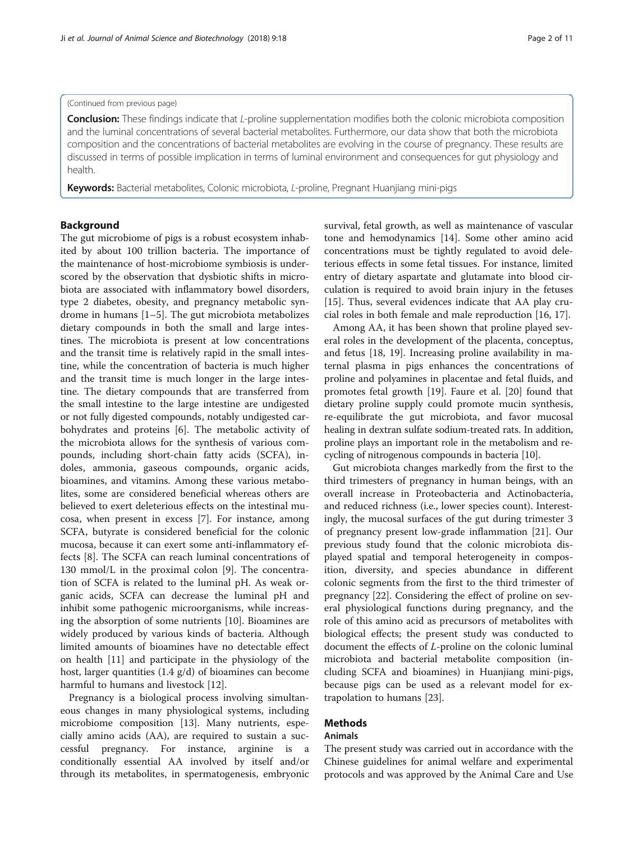# (Continued from previous page)

Conclusion: These findings indicate that L-proline supplementation modifies both the colonic microbiota composition and the luminal concentrations of several bacterial metabolites. Furthermore, our data show that both the microbiota composition and the concentrations of bacterial metabolites are evolving in the course of pregnancy. These results are discussed in terms of possible implication in terms of luminal environment and consequences for gut physiology and health.

Keywords: Bacterial metabolites, Colonic microbiota, L-proline, Pregnant Huanjiang mini-pigs

# Background

The gut microbiome of pigs is a robust ecosystem inhabited by about 100 trillion bacteria. The importance of the maintenance of host-microbiome symbiosis is underscored by the observation that dysbiotic shifts in microbiota are associated with inflammatory bowel disorders, type 2 diabetes, obesity, and pregnancy metabolic syndrome in humans [[1](#page-8-0)–[5\]](#page-8-0). The gut microbiota metabolizes dietary compounds in both the small and large intestines. The microbiota is present at low concentrations and the transit time is relatively rapid in the small intestine, while the concentration of bacteria is much higher and the transit time is much longer in the large intestine. The dietary compounds that are transferred from the small intestine to the large intestine are undigested or not fully digested compounds, notably undigested carbohydrates and proteins [[6](#page-8-0)]. The metabolic activity of the microbiota allows for the synthesis of various compounds, including short-chain fatty acids (SCFA), indoles, ammonia, gaseous compounds, organic acids, bioamines, and vitamins. Among these various metabolites, some are considered beneficial whereas others are believed to exert deleterious effects on the intestinal mucosa, when present in excess [[7\]](#page-8-0). For instance, among SCFA, butyrate is considered beneficial for the colonic mucosa, because it can exert some anti-inflammatory effects [[8\]](#page-8-0). The SCFA can reach luminal concentrations of 130 mmol/L in the proximal colon [[9\]](#page-8-0). The concentration of SCFA is related to the luminal pH. As weak organic acids, SCFA can decrease the luminal pH and inhibit some pathogenic microorganisms, while increasing the absorption of some nutrients [\[10](#page-8-0)]. Bioamines are widely produced by various kinds of bacteria. Although limited amounts of bioamines have no detectable effect on health [\[11\]](#page-8-0) and participate in the physiology of the host, larger quantities (1.4 g/d) of bioamines can become harmful to humans and livestock [[12\]](#page-8-0).

Pregnancy is a biological process involving simultaneous changes in many physiological systems, including microbiome composition [\[13](#page-8-0)]. Many nutrients, especially amino acids (AA), are required to sustain a successful pregnancy. For instance, arginine is a conditionally essential AA involved by itself and/or through its metabolites, in spermatogenesis, embryonic survival, fetal growth, as well as maintenance of vascular tone and hemodynamics [\[14\]](#page-8-0). Some other amino acid concentrations must be tightly regulated to avoid deleterious effects in some fetal tissues. For instance, limited entry of dietary aspartate and glutamate into blood circulation is required to avoid brain injury in the fetuses [[15\]](#page-8-0). Thus, several evidences indicate that AA play crucial roles in both female and male reproduction [\[16](#page-8-0), [17\]](#page-8-0).

Among AA, it has been shown that proline played several roles in the development of the placenta, conceptus, and fetus [\[18,](#page-8-0) [19\]](#page-9-0). Increasing proline availability in maternal plasma in pigs enhances the concentrations of proline and polyamines in placentae and fetal fluids, and promotes fetal growth [[19](#page-9-0)]. Faure et al. [[20\]](#page-9-0) found that dietary proline supply could promote mucin synthesis, re-equilibrate the gut microbiota, and favor mucosal healing in dextran sulfate sodium-treated rats. In addition, proline plays an important role in the metabolism and recycling of nitrogenous compounds in bacteria [\[10\]](#page-8-0).

Gut microbiota changes markedly from the first to the third trimesters of pregnancy in human beings, with an overall increase in Proteobacteria and Actinobacteria, and reduced richness (i.e., lower species count). Interestingly, the mucosal surfaces of the gut during trimester 3 of pregnancy present low-grade inflammation [[21\]](#page-9-0). Our previous study found that the colonic microbiota displayed spatial and temporal heterogeneity in composition, diversity, and species abundance in different colonic segments from the first to the third trimester of pregnancy [\[22\]](#page-9-0). Considering the effect of proline on several physiological functions during pregnancy, and the role of this amino acid as precursors of metabolites with biological effects; the present study was conducted to document the effects of L-proline on the colonic luminal microbiota and bacterial metabolite composition (including SCFA and bioamines) in Huanjiang mini-pigs, because pigs can be used as a relevant model for extrapolation to humans [\[23](#page-9-0)].

# Methods

# Animals

The present study was carried out in accordance with the Chinese guidelines for animal welfare and experimental protocols and was approved by the Animal Care and Use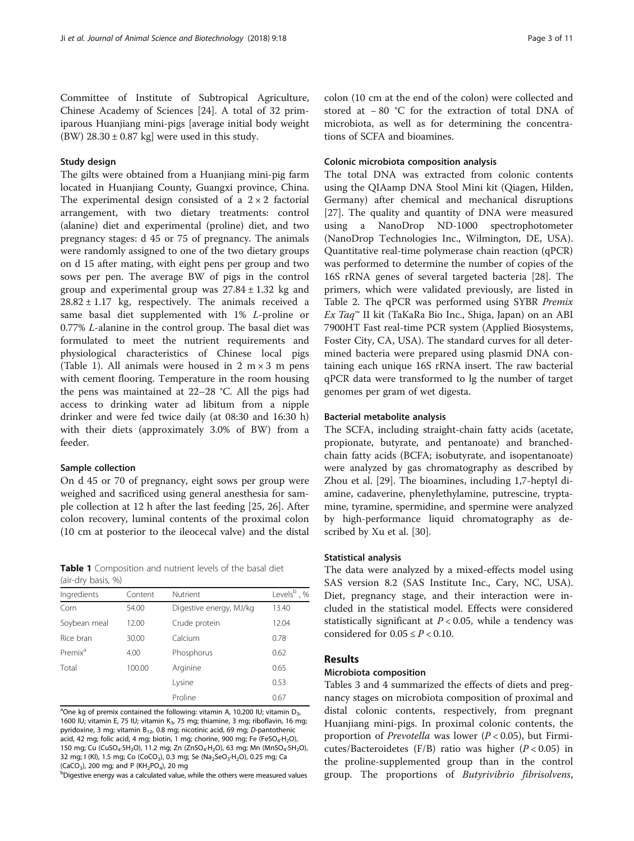Committee of Institute of Subtropical Agriculture, Chinese Academy of Sciences [[24\]](#page-9-0). A total of 32 primiparous Huanjiang mini-pigs [average initial body weight (BW)  $28.30 \pm 0.87$  kg] were used in this study.

# Study design

The gilts were obtained from a Huanjiang mini-pig farm located in Huanjiang County, Guangxi province, China. The experimental design consisted of a  $2 \times 2$  factorial arrangement, with two dietary treatments: control (alanine) diet and experimental (proline) diet, and two pregnancy stages: d 45 or 75 of pregnancy. The animals were randomly assigned to one of the two dietary groups on d 15 after mating, with eight pens per group and two sows per pen. The average BW of pigs in the control group and experimental group was 27.84 ± 1.32 kg and  $28.82 \pm 1.17$  kg, respectively. The animals received a same basal diet supplemented with 1% L-proline or 0.77% L-alanine in the control group. The basal diet was formulated to meet the nutrient requirements and physiological characteristics of Chinese local pigs (Table 1). All animals were housed in 2  $m \times 3$  m pens with cement flooring. Temperature in the room housing the pens was maintained at 22–28 °C. All the pigs had access to drinking water ad libitum from a nipple drinker and were fed twice daily (at 08:30 and 16:30 h) with their diets (approximately 3.0% of BW) from a feeder.

# Sample collection

On d 45 or 70 of pregnancy, eight sows per group were weighed and sacrificed using general anesthesia for sample collection at 12 h after the last feeding [\[25](#page-9-0), [26](#page-9-0)]. After colon recovery, luminal contents of the proximal colon (10 cm at posterior to the ileocecal valve) and the distal

Table 1 Composition and nutrient levels of the basal diet (air-dry basis, %)

| Ingredients         | Content | Nutrient                | Levels <sup>b</sup> , % |
|---------------------|---------|-------------------------|-------------------------|
| Corn                | 54.00   | Digestive energy, MJ/kg | 13.40                   |
| Soybean meal        | 12.00   | Crude protein           | 12.04                   |
| Rice bran           | 30.00   | Calcium                 | 0.78                    |
| Premix <sup>a</sup> | 4.00    | Phosphorus              | 0.62                    |
| Total               | 100.00  | Arginine                | 0.65                    |
|                     |         | Lysine                  | 0.53                    |
|                     |         | Proline                 | 0.67                    |

<sup>a</sup>One kg of premix contained the following: vitamin A, 10,200 IU; vitamin D<sub>3</sub>, 1600 IU; vitamin E, 75 IU; vitamin K<sub>3</sub>, 75 mg; thiamine, 3 mg; riboflavin, 16 mg; pyridoxine, 3 mg; vitamin B<sub>12</sub>, 0.8 mg; nicotinic acid, 69 mg; D-pantothenic acid, 42 mg; folic acid, 4 mg; biotin, 1 mg; chorine, 900 mg; Fe (FeSO<sub>4</sub>·H<sub>2</sub>O), 150 mg; Cu (CuSO<sub>4</sub>·5H<sub>2</sub>O), 11.2 mg; Zn (ZnSO<sub>4</sub>·H<sub>2</sub>O), 63 mg; Mn (MnSO<sub>4</sub>·5H<sub>2</sub>O), 32 mg; I (KI), 1.5 mg; Co (CoCO<sub>3</sub>), 0.3 mg; Se (Na<sub>2</sub>SeO<sub>3</sub>·H<sub>2</sub>O), 0.25 mg; Ca  $(CaCO<sub>3</sub>)$ , 200 mg; and P (KH<sub>2</sub>PO<sub>4</sub>), 20 mg

<sup>b</sup>Digestive energy was a calculated value, while the others were measured values

colon (10 cm at the end of the colon) were collected and stored at − 80 °C for the extraction of total DNA of microbiota, as well as for determining the concentrations of SCFA and bioamines.

# Colonic microbiota composition analysis

The total DNA was extracted from colonic contents using the QIAamp DNA Stool Mini kit (Qiagen, Hilden, Germany) after chemical and mechanical disruptions [[27\]](#page-9-0). The quality and quantity of DNA were measured using a NanoDrop ND-1000 spectrophotometer (NanoDrop Technologies Inc., Wilmington, DE, USA). Quantitative real-time polymerase chain reaction (qPCR) was performed to determine the number of copies of the 16S rRNA genes of several targeted bacteria [[28\]](#page-9-0). The primers, which were validated previously, are listed in Table [2.](#page-3-0) The qPCR was performed using SYBR Premix  $Ex$  Taq<sup>™</sup> II kit (TaKaRa Bio Inc., Shiga, Japan) on an ABI 7900HT Fast real-time PCR system (Applied Biosystems, Foster City, CA, USA). The standard curves for all determined bacteria were prepared using plasmid DNA containing each unique 16S rRNA insert. The raw bacterial qPCR data were transformed to lg the number of target genomes per gram of wet digesta.

### Bacterial metabolite analysis

The SCFA, including straight-chain fatty acids (acetate, propionate, butyrate, and pentanoate) and branchedchain fatty acids (BCFA; isobutyrate, and isopentanoate) were analyzed by gas chromatography as described by Zhou et al. [[29](#page-9-0)]. The bioamines, including 1,7-heptyl diamine, cadaverine, phenylethylamine, putrescine, tryptamine, tyramine, spermidine, and spermine were analyzed by high-performance liquid chromatography as described by Xu et al. [[30\]](#page-9-0).

# Statistical analysis

The data were analyzed by a mixed-effects model using SAS version 8.2 (SAS Institute Inc., Cary, NC, USA). Diet, pregnancy stage, and their interaction were included in the statistical model. Effects were considered statistically significant at  $P < 0.05$ , while a tendency was considered for  $0.05 \le P < 0.10$ .

# Results

# Microbiota composition

Tables [3](#page-4-0) and [4](#page-5-0) summarized the effects of diets and pregnancy stages on microbiota composition of proximal and distal colonic contents, respectively, from pregnant Huanjiang mini-pigs. In proximal colonic contents, the proportion of *Prevotella* was lower ( $P < 0.05$ ), but Firmicutes/Bacteroidetes (F/B) ratio was higher ( $P < 0.05$ ) in the proline-supplemented group than in the control group. The proportions of Butyrivibrio fibrisolvens,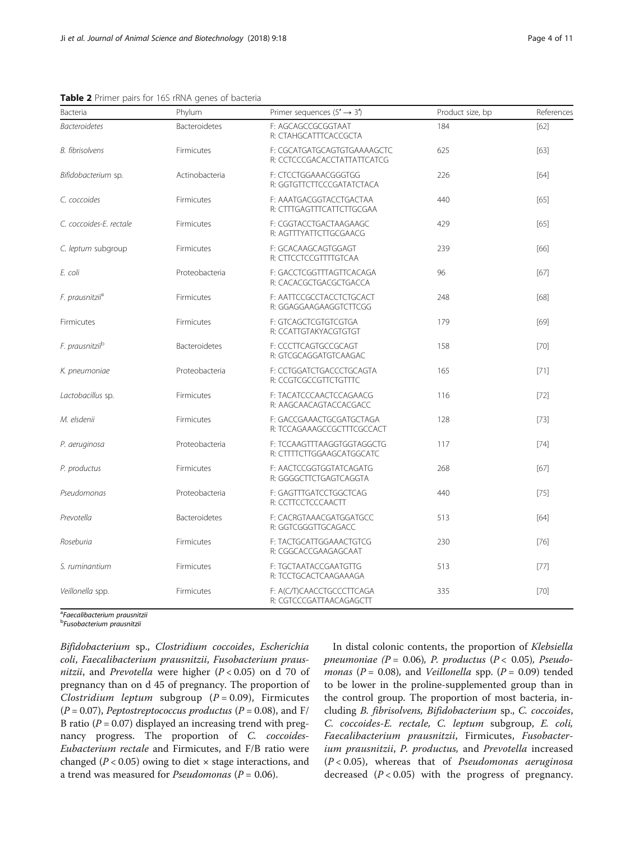<span id="page-3-0"></span>Table 2 Primer pairs for 16S rRNA genes of bacteria

| Bacteria                    | Phylum         | Primer sequences (5' $\rightarrow$ 3')                     | Product size, bp | References |
|-----------------------------|----------------|------------------------------------------------------------|------------------|------------|
| <b>Bacteroidetes</b>        | Bacteroidetes  | F: AGCAGCCGCGGTAAT<br>R: CTAHGCATTTCACCGCTA                | 184              | [62]       |
| <b>B.</b> fibrisolvens      | Firmicutes     | F: CGCATGATGCAGTGTGAAAAGCTC<br>R: CCTCCCGACACCTATTATTCATCG | 625              | $[63]$     |
| Bifidobacterium sp.         | Actinobacteria | F: CTCCTGGAAACGGGTGG<br>R: GGTGTTCTTCCCGATATCTACA          | 226              | [64]       |
| C. coccoides                | Firmicutes     | F: AAATGACGGTACCTGACTAA<br>R: CTTTGAGTTTCATTCTTGCGAA       | 440              | [65]       |
| C. coccoides-E. rectale     | Firmicutes     | F: CGGTACCTGACTAAGAAGC<br>R: AGTTTYATTCTTGCGAACG           | 429              | $[65]$     |
| C. leptum subgroup          | Firmicutes     | F: GCACAAGCAGTGGAGT<br>R: CTTCCTCCGTTTTGTCAA               | 239              | [66]       |
| E. coli                     | Proteobacteria | F: GACCTCGGTTTAGTTCACAGA<br>R: CACACGCTGACGCTGACCA         | 96               | [67]       |
| F. prausnitzii <sup>a</sup> | Firmicutes     | F: AATTCCGCCTACCTCTGCACT<br>R: GGAGGAAGAAGGTCTTCGG         | 248              | [68]       |
| Firmicutes                  | Firmicutes     | F: GTCAGCTCGTGTCGTGA<br>R: CCATTGTAKYACGTGTGT              | 179              | [69]       |
| F. prausnitzii <sup>b</sup> | Bacteroidetes  | F: CCCTTCAGTGCCGCAGT<br>R: GTCGCAGGATGTCAAGAC              | 158              | $[70]$     |
| K. pneumoniae               | Proteobacteria | F: CCTGGATCTGACCCTGCAGTA<br>R: CCGTCGCCGTTCTGTTTC          | 165              | $[71]$     |
| Lactobacillus sp.           | Firmicutes     | F: TACATCCCAACTCCAGAACG<br>R: AAGCAACAGTACCACGACC          | 116              | $[72]$     |
| M. elsdenii                 | Firmicutes     | F: GACCGAAACTGCGATGCTAGA<br>R: TCCAGAAAGCCGCTTTCGCCACT     | 128              | $[73]$     |
| P. aeruginosa               | Proteobacteria | F: TCCAAGTTTAAGGTGGTAGGCTG<br>R: CTTTTCTTGGAAGCATGGCATC    | 117              | $[74]$     |
| P. productus                | Firmicutes     | F: AACTCCGGTGGTATCAGATG<br>R: GGGGCTTCTGAGTCAGGTA          | 268              | $[67]$     |
| Pseudomonas                 | Proteobacteria | F: GAGTTTGATCCTGGCTCAG<br>R: CCTTCCTCCCAACTT               | 440              | $[75]$     |
| Prevotella                  | Bacteroidetes  | F: CACRGTAAACGATGGATGCC<br>R: GGTCGGGTTGCAGACC             | 513              | [64]       |
| Roseburia                   | Firmicutes     | F: TACTGCATTGGAAACTGTCG<br>R: CGGCACCGAAGAGCAAT            | 230              | $[76]$     |
| S. ruminantium              | Firmicutes     | F: TGCTAATACCGAATGTTG<br>R: TCCTGCACTCAAGAAAGA             | 513              | $[77]$     |
| Veillonella spp.            | Firmicutes     | F: A(C/T)CAACCTGCCCTTCAGA<br>R: CGTCCCGATTAACAGAGCTT       | 335              | $[70]$     |

<sup>a</sup>Faecalibacterium prausnitzii

<sup>b</sup>Fusobacterium prausnitzii

Bifidobacterium sp., Clostridium coccoides, Escherichia coli, Faecalibacterium prausnitzii, Fusobacterium prausnitzii, and Prevotella were higher  $(P < 0.05)$  on d 70 of pregnancy than on d 45 of pregnancy. The proportion of Clostridium leptum subgroup  $(P = 0.09)$ , Firmicutes  $(P = 0.07)$ , Peptostreptococcus productus  $(P = 0.08)$ , and F/ B ratio ( $P = 0.07$ ) displayed an increasing trend with pregnancy progress. The proportion of C. coccoides-Eubacterium rectale and Firmicutes, and F/B ratio were changed ( $P < 0.05$ ) owing to diet  $\times$  stage interactions, and a trend was measured for *Pseudomonas* ( $P = 0.06$ ).

In distal colonic contents, the proportion of Klebsiella pneumoniae (P = 0.06), P. productus (P < 0.05), Pseudo*monas* ( $P = 0.08$ ), and *Veillonella* spp. ( $P = 0.09$ ) tended to be lower in the proline-supplemented group than in the control group. The proportion of most bacteria, including B. fibrisolvens, Bifidobacterium sp., C. coccoides, C. coccoides-E. rectale, C. leptum subgroup, E. coli, Faecalibacterium prausnitzii, Firmicutes, Fusobacterium prausnitzii, P. productus, and Prevotella increased  $(P < 0.05)$ , whereas that of *Pseudomonas aeruginosa* decreased  $(P < 0.05)$  with the progress of pregnancy.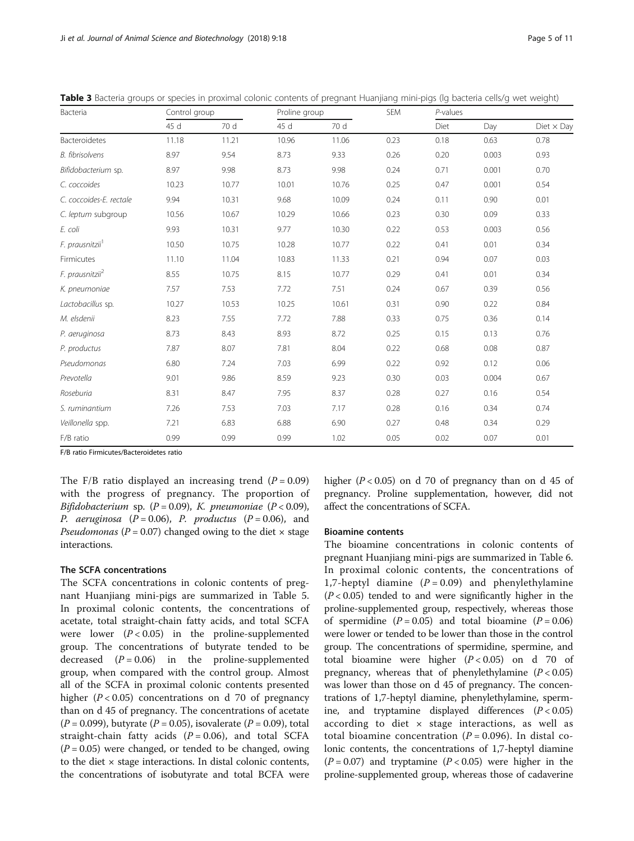|  | Page 5 of 11 |  |  |  |
|--|--------------|--|--|--|
|--|--------------|--|--|--|

| Bacteria                    |       | Control group |       | Proline group |      | $P$ -values |       |                   |
|-----------------------------|-------|---------------|-------|---------------|------|-------------|-------|-------------------|
|                             | 45 d  | 70 d          | 45 d  | 70 d          |      | Diet        | Day   | Diet $\times$ Day |
| Bacteroidetes               | 11.18 | 11.21         | 10.96 | 11.06         | 0.23 | 0.18        | 0.63  | 0.78              |
| <b>B.</b> fibrisolvens      | 8.97  | 9.54          | 8.73  | 9.33          | 0.26 | 0.20        | 0.003 | 0.93              |
| Bifidobacterium sp.         | 8.97  | 9.98          | 8.73  | 9.98          | 0.24 | 0.71        | 0.001 | 0.70              |
| C. coccoides                | 10.23 | 10.77         | 10.01 | 10.76         | 0.25 | 0.47        | 0.001 | 0.54              |
| C. coccoides-E. rectale     | 9.94  | 10.31         | 9.68  | 10.09         | 0.24 | 0.11        | 0.90  | 0.01              |
| C. leptum subgroup          | 10.56 | 10.67         | 10.29 | 10.66         | 0.23 | 0.30        | 0.09  | 0.33              |
| E. coli                     | 9.93  | 10.31         | 9.77  | 10.30         | 0.22 | 0.53        | 0.003 | 0.56              |
| F. prausnitzii <sup>1</sup> | 10.50 | 10.75         | 10.28 | 10.77         | 0.22 | 0.41        | 0.01  | 0.34              |
| Firmicutes                  | 11.10 | 11.04         | 10.83 | 11.33         | 0.21 | 0.94        | 0.07  | 0.03              |
| F. prausnitzii <sup>2</sup> | 8.55  | 10.75         | 8.15  | 10.77         | 0.29 | 0.41        | 0.01  | 0.34              |
| K. pneumoniae               | 7.57  | 7.53          | 7.72  | 7.51          | 0.24 | 0.67        | 0.39  | 0.56              |
| Lactobacillus sp.           | 10.27 | 10.53         | 10.25 | 10.61         | 0.31 | 0.90        | 0.22  | 0.84              |
| M. elsdenii                 | 8.23  | 7.55          | 7.72  | 7.88          | 0.33 | 0.75        | 0.36  | 0.14              |
| P. aeruginosa               | 8.73  | 8.43          | 8.93  | 8.72          | 0.25 | 0.15        | 0.13  | 0.76              |
| P. productus                | 7.87  | 8.07          | 7.81  | 8.04          | 0.22 | 0.68        | 0.08  | 0.87              |
| Pseudomonas                 | 6.80  | 7.24          | 7.03  | 6.99          | 0.22 | 0.92        | 0.12  | 0.06              |
| Prevotella                  | 9.01  | 9.86          | 8.59  | 9.23          | 0.30 | 0.03        | 0.004 | 0.67              |
| Roseburia                   | 8.31  | 8.47          | 7.95  | 8.37          | 0.28 | 0.27        | 0.16  | 0.54              |
| S. ruminantium              | 7.26  | 7.53          | 7.03  | 7.17          | 0.28 | 0.16        | 0.34  | 0.74              |
| Veillonella spp.            | 7.21  | 6.83          | 6.88  | 6.90          | 0.27 | 0.48        | 0.34  | 0.29              |
| F/B ratio                   | 0.99  | 0.99          | 0.99  | 1.02          | 0.05 | 0.02        | 0.07  | 0.01              |

<span id="page-4-0"></span>Table 3 Bacteria groups or species in proximal colonic contents of pregnant Huanjiang mini-pigs (lg bacteria cells/g wet weight)

F/B ratio Firmicutes/Bacteroidetes ratio

The F/B ratio displayed an increasing trend  $(P = 0.09)$ with the progress of pregnancy. The proportion of Bifidobacterium sp.  $(P = 0.09)$ , K. pneumoniae  $(P < 0.09)$ , P. aeruginosa  $(P = 0.06)$ , P. productus  $(P = 0.06)$ , and *Pseudomonas* ( $P = 0.07$ ) changed owing to the diet  $\times$  stage interactions.

# The SCFA concentrations

The SCFA concentrations in colonic contents of pregnant Huanjiang mini-pigs are summarized in Table [5](#page-6-0). In proximal colonic contents, the concentrations of acetate, total straight-chain fatty acids, and total SCFA were lower  $(P < 0.05)$  in the proline-supplemented group. The concentrations of butyrate tended to be decreased  $(P = 0.06)$  in the proline-supplemented group, when compared with the control group. Almost all of the SCFA in proximal colonic contents presented higher  $(P < 0.05)$  concentrations on d 70 of pregnancy than on d 45 of pregnancy. The concentrations of acetate  $(P = 0.099)$ , butyrate  $(P = 0.05)$ , isovalerate  $(P = 0.09)$ , total straight-chain fatty acids  $(P = 0.06)$ , and total SCFA  $(P = 0.05)$  were changed, or tended to be changed, owing to the diet  $\times$  stage interactions. In distal colonic contents, the concentrations of isobutyrate and total BCFA were higher ( $P < 0.05$ ) on d 70 of pregnancy than on d 45 of pregnancy. Proline supplementation, however, did not affect the concentrations of SCFA.

### Bioamine contents

The bioamine concentrations in colonic contents of pregnant Huanjiang mini-pigs are summarized in Table [6](#page-7-0). In proximal colonic contents, the concentrations of 1,7-heptyl diamine  $(P = 0.09)$  and phenylethylamine  $(P < 0.05)$  tended to and were significantly higher in the proline-supplemented group, respectively, whereas those of spermidine  $(P = 0.05)$  and total bioamine  $(P = 0.06)$ were lower or tended to be lower than those in the control group. The concentrations of spermidine, spermine, and total bioamine were higher  $(P < 0.05)$  on d 70 of pregnancy, whereas that of phenylethylamine  $(P < 0.05)$ was lower than those on d 45 of pregnancy. The concentrations of 1,7-heptyl diamine, phenylethylamine, spermine, and tryptamine displayed differences  $(P < 0.05)$ according to diet  $\times$  stage interactions, as well as total bioamine concentration ( $P = 0.096$ ). In distal colonic contents, the concentrations of 1,7-heptyl diamine  $(P = 0.07)$  and tryptamine  $(P < 0.05)$  were higher in the proline-supplemented group, whereas those of cadaverine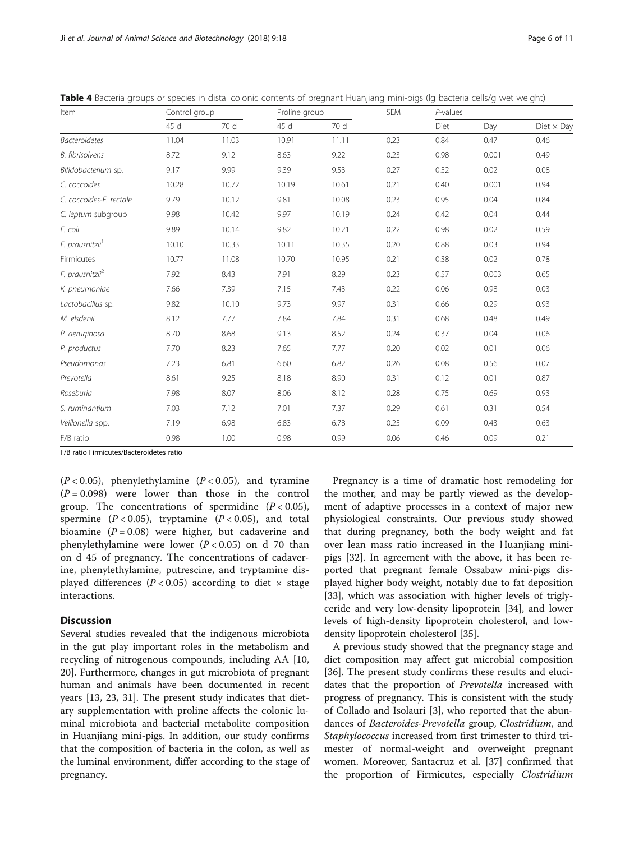| Page 6 of 11 |  |
|--------------|--|
|--------------|--|

| Item                        |       | Control group |       | Proline group |      | $P$ -values |       |                   |  |
|-----------------------------|-------|---------------|-------|---------------|------|-------------|-------|-------------------|--|
|                             | 45 d  | 70 d          | 45 d  | 70 d          |      | Diet        | Day   | Diet $\times$ Day |  |
| <b>Bacteroidetes</b>        | 11.04 | 11.03         | 10.91 | 11.11         | 0.23 | 0.84        | 0.47  | 0.46              |  |
| <b>B.</b> fibrisolvens      | 8.72  | 9.12          | 8.63  | 9.22          | 0.23 | 0.98        | 0.001 | 0.49              |  |
| Bifidobacterium sp.         | 9.17  | 9.99          | 9.39  | 9.53          | 0.27 | 0.52        | 0.02  | 0.08              |  |
| C. coccoides                | 10.28 | 10.72         | 10.19 | 10.61         | 0.21 | 0.40        | 0.001 | 0.94              |  |
| C. coccoides-E. rectale     | 9.79  | 10.12         | 9.81  | 10.08         | 0.23 | 0.95        | 0.04  | 0.84              |  |
| C. leptum subgroup          | 9.98  | 10.42         | 9.97  | 10.19         | 0.24 | 0.42        | 0.04  | 0.44              |  |
| E. coli                     | 9.89  | 10.14         | 9.82  | 10.21         | 0.22 | 0.98        | 0.02  | 0.59              |  |
| F. prausnitzii <sup>1</sup> | 10.10 | 10.33         | 10.11 | 10.35         | 0.20 | 0.88        | 0.03  | 0.94              |  |
| Firmicutes                  | 10.77 | 11.08         | 10.70 | 10.95         | 0.21 | 0.38        | 0.02  | 0.78              |  |
| F. prausnitzii <sup>2</sup> | 7.92  | 8.43          | 7.91  | 8.29          | 0.23 | 0.57        | 0.003 | 0.65              |  |
| K. pneumoniae               | 7.66  | 7.39          | 7.15  | 7.43          | 0.22 | 0.06        | 0.98  | 0.03              |  |
| Lactobacillus sp.           | 9.82  | 10.10         | 9.73  | 9.97          | 0.31 | 0.66        | 0.29  | 0.93              |  |
| M. elsdenii                 | 8.12  | 7.77          | 7.84  | 7.84          | 0.31 | 0.68        | 0.48  | 0.49              |  |
| P. aeruginosa               | 8.70  | 8.68          | 9.13  | 8.52          | 0.24 | 0.37        | 0.04  | 0.06              |  |
| P. productus                | 7.70  | 8.23          | 7.65  | 7.77          | 0.20 | 0.02        | 0.01  | 0.06              |  |
| Pseudomonas                 | 7.23  | 6.81          | 6.60  | 6.82          | 0.26 | 0.08        | 0.56  | 0.07              |  |
| Prevotella                  | 8.61  | 9.25          | 8.18  | 8.90          | 0.31 | 0.12        | 0.01  | 0.87              |  |
| Roseburia                   | 7.98  | 8.07          | 8.06  | 8.12          | 0.28 | 0.75        | 0.69  | 0.93              |  |
| S. ruminantium              | 7.03  | 7.12          | 7.01  | 7.37          | 0.29 | 0.61        | 0.31  | 0.54              |  |
| Veillonella spp.            | 7.19  | 6.98          | 6.83  | 6.78          | 0.25 | 0.09        | 0.43  | 0.63              |  |
| F/B ratio                   | 0.98  | 1.00          | 0.98  | 0.99          | 0.06 | 0.46        | 0.09  | 0.21              |  |

<span id="page-5-0"></span>Table 4 Bacteria groups or species in distal colonic contents of pregnant Huanjiang mini-pigs (Ig bacteria cells/g wet weight)

F/B ratio Firmicutes/Bacteroidetes ratio

 $(P < 0.05)$ , phenylethylamine  $(P < 0.05)$ , and tyramine  $(P = 0.098)$  were lower than those in the control group. The concentrations of spermidine  $(P < 0.05)$ , spermine  $(P < 0.05)$ , tryptamine  $(P < 0.05)$ , and total bioamine  $(P = 0.08)$  were higher, but cadaverine and phenylethylamine were lower  $(P < 0.05)$  on d 70 than on d 45 of pregnancy. The concentrations of cadaverine, phenylethylamine, putrescine, and tryptamine displayed differences ( $P < 0.05$ ) according to diet  $\times$  stage interactions.

# Discussion

Several studies revealed that the indigenous microbiota in the gut play important roles in the metabolism and recycling of nitrogenous compounds, including AA [[10](#page-8-0), [20\]](#page-9-0). Furthermore, changes in gut microbiota of pregnant human and animals have been documented in recent years [\[13,](#page-8-0) [23](#page-9-0), [31\]](#page-9-0). The present study indicates that dietary supplementation with proline affects the colonic luminal microbiota and bacterial metabolite composition in Huanjiang mini-pigs. In addition, our study confirms that the composition of bacteria in the colon, as well as the luminal environment, differ according to the stage of pregnancy.

Pregnancy is a time of dramatic host remodeling for the mother, and may be partly viewed as the development of adaptive processes in a context of major new physiological constraints. Our previous study showed that during pregnancy, both the body weight and fat over lean mass ratio increased in the Huanjiang minipigs [\[32](#page-9-0)]. In agreement with the above, it has been reported that pregnant female Ossabaw mini-pigs displayed higher body weight, notably due to fat deposition [[33\]](#page-9-0), which was association with higher levels of triglyceride and very low-density lipoprotein [\[34](#page-9-0)], and lower levels of high-density lipoprotein cholesterol, and lowdensity lipoprotein cholesterol [\[35\]](#page-9-0).

A previous study showed that the pregnancy stage and diet composition may affect gut microbial composition [[36\]](#page-9-0). The present study confirms these results and elucidates that the proportion of Prevotella increased with progress of pregnancy. This is consistent with the study of Collado and Isolauri [[3\]](#page-8-0), who reported that the abundances of Bacteroides-Prevotella group, Clostridium, and Staphylococcus increased from first trimester to third trimester of normal-weight and overweight pregnant women. Moreover, Santacruz et al. [\[37](#page-9-0)] confirmed that the proportion of Firmicutes, especially Clostridium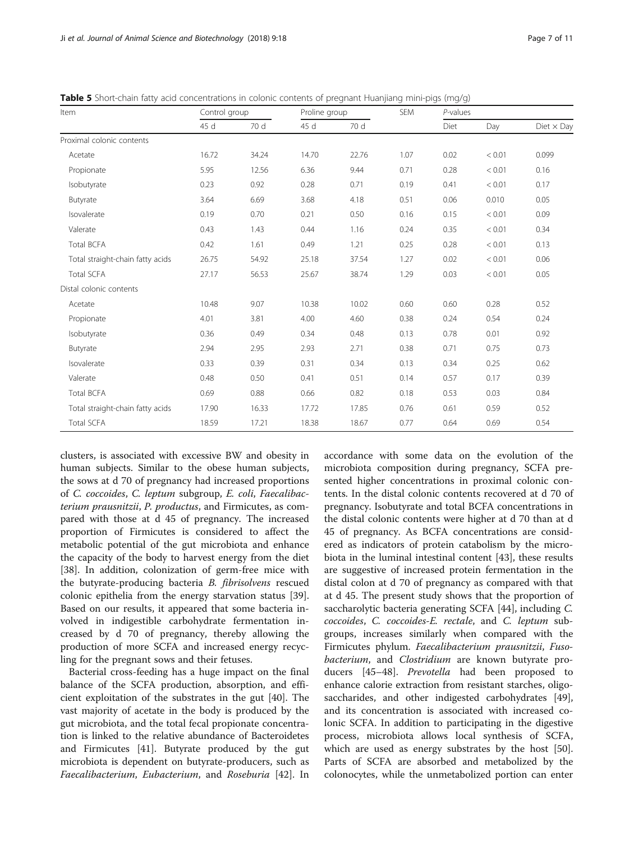| Item                             | Control group |       |       | Proline group |      | P-values |        |                   |
|----------------------------------|---------------|-------|-------|---------------|------|----------|--------|-------------------|
|                                  | 45 d          | 70 d  | 45 d  | 70 d          |      | Diet     | Day    | Diet $\times$ Day |
| Proximal colonic contents        |               |       |       |               |      |          |        |                   |
| Acetate                          | 16.72         | 34.24 | 14.70 | 22.76         | 1.07 | 0.02     | < 0.01 | 0.099             |
| Propionate                       | 5.95          | 12.56 | 6.36  | 9.44          | 0.71 | 0.28     | < 0.01 | 0.16              |
| Isobutyrate                      | 0.23          | 0.92  | 0.28  | 0.71          | 0.19 | 0.41     | < 0.01 | 0.17              |
| Butyrate                         | 3.64          | 6.69  | 3.68  | 4.18          | 0.51 | 0.06     | 0.010  | 0.05              |
| Isovalerate                      | 0.19          | 0.70  | 0.21  | 0.50          | 0.16 | 0.15     | < 0.01 | 0.09              |
| Valerate                         | 0.43          | 1.43  | 0.44  | 1.16          | 0.24 | 0.35     | < 0.01 | 0.34              |
| Total BCFA                       | 0.42          | 1.61  | 0.49  | 1.21          | 0.25 | 0.28     | < 0.01 | 0.13              |
| Total straight-chain fatty acids | 26.75         | 54.92 | 25.18 | 37.54         | 1.27 | 0.02     | < 0.01 | 0.06              |
| Total SCFA                       | 27.17         | 56.53 | 25.67 | 38.74         | 1.29 | 0.03     | < 0.01 | 0.05              |
| Distal colonic contents          |               |       |       |               |      |          |        |                   |
| Acetate                          | 10.48         | 9.07  | 10.38 | 10.02         | 0.60 | 0.60     | 0.28   | 0.52              |
| Propionate                       | 4.01          | 3.81  | 4.00  | 4.60          | 0.38 | 0.24     | 0.54   | 0.24              |
| Isobutyrate                      | 0.36          | 0.49  | 0.34  | 0.48          | 0.13 | 0.78     | 0.01   | 0.92              |
| Butyrate                         | 2.94          | 2.95  | 2.93  | 2.71          | 0.38 | 0.71     | 0.75   | 0.73              |
| Isovalerate                      | 0.33          | 0.39  | 0.31  | 0.34          | 0.13 | 0.34     | 0.25   | 0.62              |
| Valerate                         | 0.48          | 0.50  | 0.41  | 0.51          | 0.14 | 0.57     | 0.17   | 0.39              |
| Total BCFA                       | 0.69          | 0.88  | 0.66  | 0.82          | 0.18 | 0.53     | 0.03   | 0.84              |
| Total straight-chain fatty acids | 17.90         | 16.33 | 17.72 | 17.85         | 0.76 | 0.61     | 0.59   | 0.52              |
| <b>Total SCFA</b>                | 18.59         | 17.21 | 18.38 | 18.67         | 0.77 | 0.64     | 0.69   | 0.54              |

<span id="page-6-0"></span>Table 5 Short-chain fatty acid concentrations in colonic contents of pregnant Huanjiang mini-pigs (mg/g)

clusters, is associated with excessive BW and obesity in human subjects. Similar to the obese human subjects, the sows at d 70 of pregnancy had increased proportions of C. coccoides, C. leptum subgroup, E. coli, Faecalibacterium prausnitzii, P. productus, and Firmicutes, as compared with those at d 45 of pregnancy. The increased proportion of Firmicutes is considered to affect the metabolic potential of the gut microbiota and enhance the capacity of the body to harvest energy from the diet [[38\]](#page-9-0). In addition, colonization of germ-free mice with the butyrate-producing bacteria B. fibrisolvens rescued colonic epithelia from the energy starvation status [\[39](#page-9-0)]. Based on our results, it appeared that some bacteria involved in indigestible carbohydrate fermentation increased by d 70 of pregnancy, thereby allowing the production of more SCFA and increased energy recycling for the pregnant sows and their fetuses.

Bacterial cross-feeding has a huge impact on the final balance of the SCFA production, absorption, and efficient exploitation of the substrates in the gut [\[40](#page-9-0)]. The vast majority of acetate in the body is produced by the gut microbiota, and the total fecal propionate concentration is linked to the relative abundance of Bacteroidetes and Firmicutes [\[41\]](#page-9-0). Butyrate produced by the gut microbiota is dependent on butyrate-producers, such as Faecalibacterium, Eubacterium, and Roseburia [[42\]](#page-9-0). In accordance with some data on the evolution of the microbiota composition during pregnancy, SCFA presented higher concentrations in proximal colonic contents. In the distal colonic contents recovered at d 70 of pregnancy. Isobutyrate and total BCFA concentrations in the distal colonic contents were higher at d 70 than at d 45 of pregnancy. As BCFA concentrations are considered as indicators of protein catabolism by the microbiota in the luminal intestinal content [[43\]](#page-9-0), these results are suggestive of increased protein fermentation in the distal colon at d 70 of pregnancy as compared with that at d 45. The present study shows that the proportion of saccharolytic bacteria generating SCFA [[44](#page-9-0)], including C. coccoides, C. coccoides-E. rectale, and C. leptum subgroups, increases similarly when compared with the Firmicutes phylum. Faecalibacterium prausnitzii, Fusobacterium, and Clostridium are known butyrate producers [\[45](#page-9-0)–[48\]](#page-9-0). Prevotella had been proposed to enhance calorie extraction from resistant starches, oligosaccharides, and other indigested carbohydrates [\[49](#page-9-0)], and its concentration is associated with increased colonic SCFA. In addition to participating in the digestive process, microbiota allows local synthesis of SCFA, which are used as energy substrates by the host [\[50](#page-9-0)]. Parts of SCFA are absorbed and metabolized by the colonocytes, while the unmetabolized portion can enter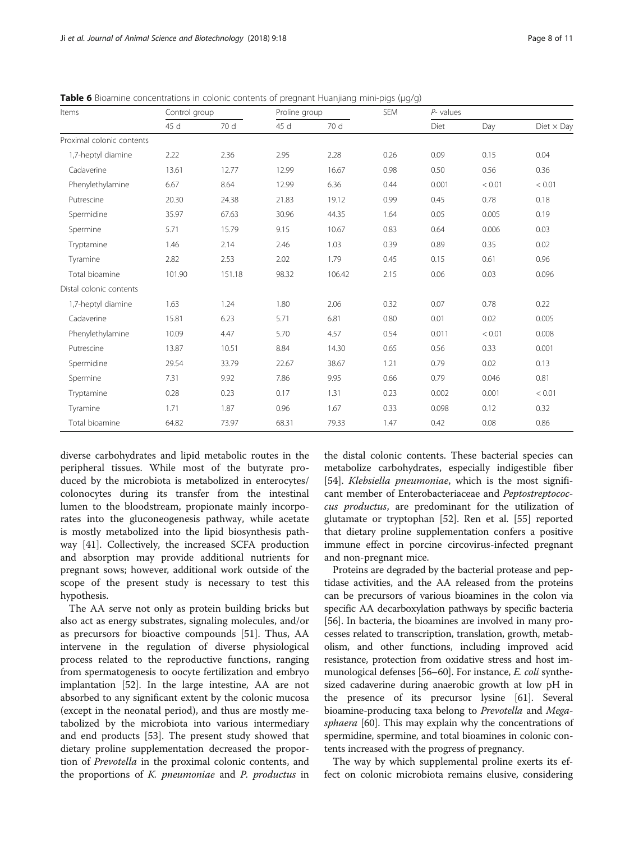| Items                     |        | Control group |       | Proline group |      | $P-$ values |        |                   |  |
|---------------------------|--------|---------------|-------|---------------|------|-------------|--------|-------------------|--|
|                           | 45 d   | 70 d          | 45 d  | 70 d          |      | Diet        | Day    | $Dict \times Day$ |  |
| Proximal colonic contents |        |               |       |               |      |             |        |                   |  |
| 1,7-heptyl diamine        | 2.22   | 2.36          | 2.95  | 2.28          | 0.26 | 0.09        | 0.15   | 0.04              |  |
| Cadaverine                | 13.61  | 12.77         | 12.99 | 16.67         | 0.98 | 0.50        | 0.56   | 0.36              |  |
| Phenylethylamine          | 6.67   | 8.64          | 12.99 | 6.36          | 0.44 | 0.001       | < 0.01 | < 0.01            |  |
| Putrescine                | 20.30  | 24.38         | 21.83 | 19.12         | 0.99 | 0.45        | 0.78   | 0.18              |  |
| Spermidine                | 35.97  | 67.63         | 30.96 | 44.35         | 1.64 | 0.05        | 0.005  | 0.19              |  |
| Spermine                  | 5.71   | 15.79         | 9.15  | 10.67         | 0.83 | 0.64        | 0.006  | 0.03              |  |
| Tryptamine                | 1.46   | 2.14          | 2.46  | 1.03          | 0.39 | 0.89        | 0.35   | 0.02              |  |
| Tyramine                  | 2.82   | 2.53          | 2.02  | 1.79          | 0.45 | 0.15        | 0.61   | 0.96              |  |
| Total bioamine            | 101.90 | 151.18        | 98.32 | 106.42        | 2.15 | 0.06        | 0.03   | 0.096             |  |
| Distal colonic contents   |        |               |       |               |      |             |        |                   |  |
| 1,7-heptyl diamine        | 1.63   | 1.24          | 1.80  | 2.06          | 0.32 | 0.07        | 0.78   | 0.22              |  |
| Cadaverine                | 15.81  | 6.23          | 5.71  | 6.81          | 0.80 | 0.01        | 0.02   | 0.005             |  |
| Phenylethylamine          | 10.09  | 4.47          | 5.70  | 4.57          | 0.54 | 0.011       | < 0.01 | 0.008             |  |
| Putrescine                | 13.87  | 10.51         | 8.84  | 14.30         | 0.65 | 0.56        | 0.33   | 0.001             |  |
| Spermidine                | 29.54  | 33.79         | 22.67 | 38.67         | 1.21 | 0.79        | 0.02   | 0.13              |  |
| Spermine                  | 7.31   | 9.92          | 7.86  | 9.95          | 0.66 | 0.79        | 0.046  | 0.81              |  |
| Tryptamine                | 0.28   | 0.23          | 0.17  | 1.31          | 0.23 | 0.002       | 0.001  | < 0.01            |  |
| Tyramine                  | 1.71   | 1.87          | 0.96  | 1.67          | 0.33 | 0.098       | 0.12   | 0.32              |  |
| Total bioamine            | 64.82  | 73.97         | 68.31 | 79.33         | 1.47 | 0.42        | 0.08   | 0.86              |  |

<span id="page-7-0"></span>Table 6 Bioamine concentrations in colonic contents of pregnant Huanjiang mini-pigs (μg/g)

diverse carbohydrates and lipid metabolic routes in the peripheral tissues. While most of the butyrate produced by the microbiota is metabolized in enterocytes/ colonocytes during its transfer from the intestinal lumen to the bloodstream, propionate mainly incorporates into the gluconeogenesis pathway, while acetate is mostly metabolized into the lipid biosynthesis pathway [[41](#page-9-0)]. Collectively, the increased SCFA production and absorption may provide additional nutrients for pregnant sows; however, additional work outside of the scope of the present study is necessary to test this hypothesis.

The AA serve not only as protein building bricks but also act as energy substrates, signaling molecules, and/or as precursors for bioactive compounds [\[51](#page-9-0)]. Thus, AA intervene in the regulation of diverse physiological process related to the reproductive functions, ranging from spermatogenesis to oocyte fertilization and embryo implantation [[52](#page-9-0)]. In the large intestine, AA are not absorbed to any significant extent by the colonic mucosa (except in the neonatal period), and thus are mostly metabolized by the microbiota into various intermediary and end products [[53\]](#page-9-0). The present study showed that dietary proline supplementation decreased the proportion of Prevotella in the proximal colonic contents, and the proportions of K. pneumoniae and P. productus in

the distal colonic contents. These bacterial species can metabolize carbohydrates, especially indigestible fiber [[54\]](#page-9-0). Klebsiella pneumoniae, which is the most significant member of Enterobacteriaceae and Peptostreptococcus productus, are predominant for the utilization of glutamate or tryptophan [\[52](#page-9-0)]. Ren et al. [[55\]](#page-9-0) reported that dietary proline supplementation confers a positive immune effect in porcine circovirus-infected pregnant and non-pregnant mice.

Proteins are degraded by the bacterial protease and peptidase activities, and the AA released from the proteins can be precursors of various bioamines in the colon via specific AA decarboxylation pathways by specific bacteria [[56](#page-9-0)]. In bacteria, the bioamines are involved in many processes related to transcription, translation, growth, metabolism, and other functions, including improved acid resistance, protection from oxidative stress and host im-munological defenses [[56](#page-9-0)–[60](#page-9-0)]. For instance, E. coli synthesized cadaverine during anaerobic growth at low pH in the presence of its precursor lysine [\[61](#page-9-0)]. Several bioamine-producing taxa belong to Prevotella and Mega-sphaera [\[60\]](#page-9-0). This may explain why the concentrations of spermidine, spermine, and total bioamines in colonic contents increased with the progress of pregnancy.

The way by which supplemental proline exerts its effect on colonic microbiota remains elusive, considering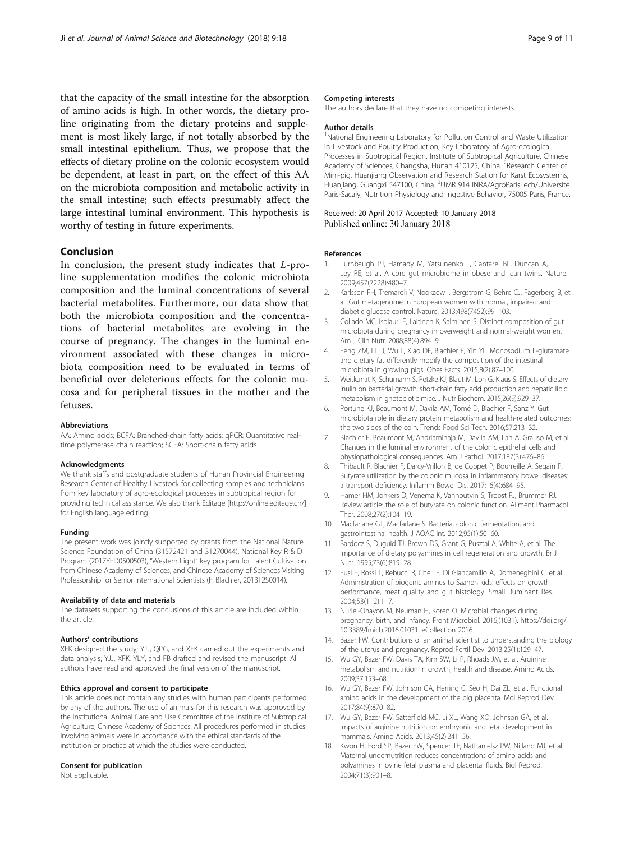<span id="page-8-0"></span>that the capacity of the small intestine for the absorption of amino acids is high. In other words, the dietary proline originating from the dietary proteins and supplement is most likely large, if not totally absorbed by the small intestinal epithelium. Thus, we propose that the effects of dietary proline on the colonic ecosystem would be dependent, at least in part, on the effect of this AA on the microbiota composition and metabolic activity in the small intestine; such effects presumably affect the large intestinal luminal environment. This hypothesis is worthy of testing in future experiments.

# Conclusion

In conclusion, the present study indicates that L-proline supplementation modifies the colonic microbiota composition and the luminal concentrations of several bacterial metabolites. Furthermore, our data show that both the microbiota composition and the concentrations of bacterial metabolites are evolving in the course of pregnancy. The changes in the luminal environment associated with these changes in microbiota composition need to be evaluated in terms of beneficial over deleterious effects for the colonic mucosa and for peripheral tissues in the mother and the fetuses.

### Abbreviations

AA: Amino acids; BCFA: Branched-chain fatty acids; qPCR: Quantitative realtime polymerase chain reaction; SCFA: Short-chain fatty acids

### Acknowledgments

We thank staffs and postgraduate students of Hunan Provincial Engineering Research Center of Healthy Livestock for collecting samples and technicians from key laboratory of agro-ecological processes in subtropical region for providing technical assistance. We also thank Editage [<http://online.editage.cn>/] for English language editing.

### Funding

The present work was jointly supported by grants from the National Nature Science Foundation of China (31572421 and 31270044), National Key R & D Program (2017YFD0500503), "Western Light" key program for Talent Cultivation from Chinese Academy of Sciences, and Chinese Academy of Sciences Visiting Professorship for Senior International Scientists (F. Blachier, 2013T2S0014).

### Availability of data and materials

The datasets supporting the conclusions of this article are included within the article.

### Authors' contributions

XFK designed the study; YJJ, QPG, and XFK carried out the experiments and data analysis; YJJ, XFK, YLY, and FB drafted and revised the manuscript. All authors have read and approved the final version of the manuscript.

### Ethics approval and consent to participate

This article does not contain any studies with human participants performed by any of the authors. The use of animals for this research was approved by the Institutional Animal Care and Use Committee of the Institute of Subtropical Agriculture, Chinese Academy of Sciences. All procedures performed in studies involving animals were in accordance with the ethical standards of the institution or practice at which the studies were conducted.

### Consent for publication

Not applicable.

### Competing interests

The authors declare that they have no competing interests.

### Author details

<sup>1</sup>National Engineering Laboratory for Pollution Control and Waste Utilization in Livestock and Poultry Production, Key Laboratory of Agro-ecological Processes in Subtropical Region, Institute of Subtropical Agriculture, Chinese Academy of Sciences, Changsha, Hunan 410125, China. <sup>2</sup>Research Center of Mini-pig, Huanjiang Observation and Research Station for Karst Ecosysterms, Huanjiang, Guangxi 547100, China. <sup>3</sup>UMR 914 INRA/AgroParisTech/Universite Paris-Sacaly, Nutrition Physiology and Ingestive Behavior, 75005 Paris, France.

### Received: 20 April 2017 Accepted: 10 January 2018 Published online: 30 January 2018

### References

- 1. Turnbaugh PJ, Hamady M, Yatsunenko T, Cantarel BL, Duncan A, Ley RE, et al. A core gut microbiome in obese and lean twins. Nature. 2009;457(7228):480–7.
- 2. Karlsson FH, Tremaroli V, Nookaew I, Bergstrom G, Behre CJ, Fagerberg B, et al. Gut metagenome in European women with normal, impaired and diabetic glucose control. Nature. 2013;498(7452):99–103.
- 3. Collado MC, Isolauri E, Laitinen K, Salminen S. Distinct composition of gut microbiota during pregnancy in overweight and normal-weight women. Am J Clin Nutr. 2008;88(4):894–9.
- 4. Feng ZM, Li TJ, Wu L, Xiao DF, Blachier F, Yin YL. Monosodium L-glutamate and dietary fat differently modify the composition of the intestinal microbiota in growing pigs. Obes Facts. 2015;8(2):87–100.
- 5. Weitkunat K, Schumann S, Petzke KJ, Blaut M, Loh G, Klaus S. Effects of dietary inulin on bacterial growth, short-chain fatty acid production and hepatic lipid metabolism in gnotobiotic mice. J Nutr Biochem. 2015;26(9):929–37.
- 6. Portune KJ, Beaumont M, Davila AM, Tomé D, Blachier F, Sanz Y. Gut microbiota role in dietary protein metabolism and health-related outcomes: the two sides of the coin. Trends Food Sci Tech. 2016;57:213–32.
- 7. Blachier F, Beaumont M, Andriamihaja M, Davila AM, Lan A, Grauso M, et al. Changes in the luminal environment of the colonic epithelial cells and physiopathological consequences. Am J Pathol. 2017;187(3):476–86.
- 8. Thibault R, Blachier F, Darcy-Vrillon B, de Coppet P, Bourreille A, Segain P. Butyrate utilization by the colonic mucosa in inflammatory bowel diseases: a transport deficiency. Inflamm Bowel Dis. 2017;16(4):684–95.
- 9. Hamer HM, Jonkers D, Venema K, Vanhoutvin S, Troost FJ, Brummer RJ. Review article: the role of butyrate on colonic function. Aliment Pharmacol Ther. 2008;27(2):104–19.
- 10. Macfarlane GT, Macfarlane S. Bacteria, colonic fermentation, and gastrointestinal health. J AOAC Int. 2012;95(1):50–60.
- 11. Bardocz S, Duguid TJ, Brown DS, Grant G, Pusztai A, White A, et al. The importance of dietary polyamines in cell regeneration and growth. Br J Nutr. 1995;73(6):819–28.
- 12. Fusi E, Rossi L, Rebucci R, Cheli F, Di Giancamillo A, Domeneghini C, et al. Administration of biogenic amines to Saanen kids: effects on growth performance, meat quality and gut histology. Small Ruminant Res. 2004;53(1–2):1–7.
- 13. Nuriel-Ohayon M, Neuman H, Koren O. Microbial changes during pregnancy, birth, and infancy. Front Microbiol. 2016;(1031). [https://doi.org/](http://dx.doi.org/10.3389/fmicb.2016.01031) [10.3389/fmicb.2016.01031](http://dx.doi.org/10.3389/fmicb.2016.01031). eCollection 2016.
- 14. Bazer FW. Contributions of an animal scientist to understanding the biology of the uterus and pregnancy. Reprod Fertil Dev. 2013;25(1):129–47.
- 15. Wu GY, Bazer FW, Davis TA, Kim SW, Li P, Rhoads JM, et al. Arginine metabolism and nutrition in growth, health and disease. Amino Acids. 2009;37:153–68.
- 16. Wu GY, Bazer FW, Johnson GA, Herring C, Seo H, Dai ZL, et al. Functional amino acids in the development of the pig placenta. Mol Reprod Dev. 2017;84(9):870–82.
- 17. Wu GY, Bazer FW, Satterfield MC, Li XL, Wang XQ, Johnson GA, et al. Impacts of arginine nutrition on embryonic and fetal development in mammals. Amino Acids. 2013;45(2):241–56.
- 18. Kwon H, Ford SP, Bazer FW, Spencer TE, Nathanielsz PW, Nijland MJ, et al. Maternal undernutrition reduces concentrations of amino acids and polyamines in ovine fetal plasma and placental fluids. Biol Reprod. 2004;71(3):901–8.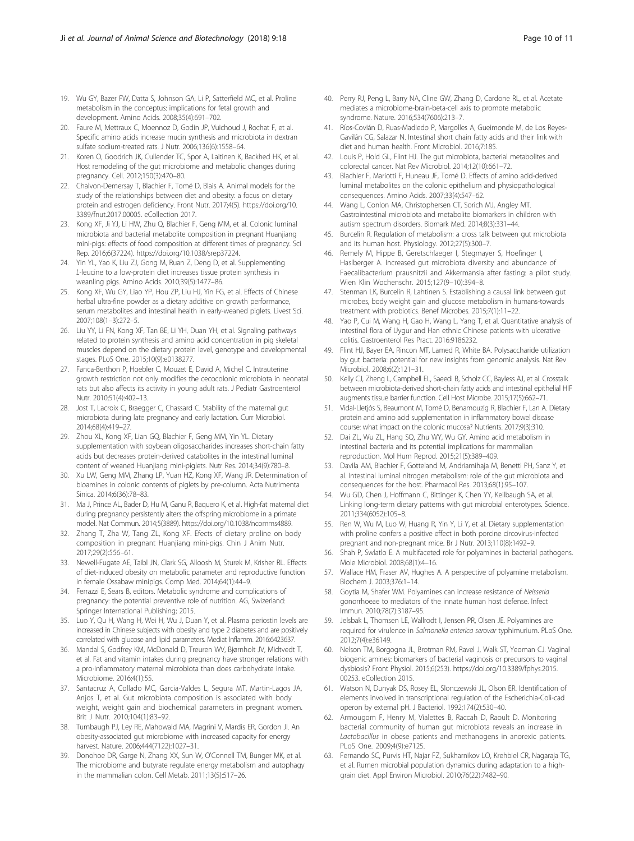- <span id="page-9-0"></span>19. Wu GY, Bazer FW, Datta S, Johnson GA, Li P, Satterfield MC, et al. Proline metabolism in the conceptus: implications for fetal growth and development. Amino Acids. 2008;35(4):691–702.
- 20. Faure M, Mettraux C, Moennoz D, Godin JP, Vuichoud J, Rochat F, et al. Specific amino acids increase mucin synthesis and microbiota in dextran sulfate sodium-treated rats. J Nutr. 2006;136(6):1558–64.
- 21. Koren O, Goodrich JK, Cullender TC, Spor A, Laitinen K, Backhed HK, et al. Host remodeling of the gut microbiome and metabolic changes during pregnancy. Cell. 2012;150(3):470–80.
- 22. Chalvon-Demersay T, Blachier F, Tomé D, Blais A. Animal models for the study of the relationships between diet and obesity: a focus on dietary protein and estrogen deficiency. Front Nutr. 2017;4(5). [https://doi.org/10.](http://dx.doi.org/10.3389/fnut.2017.00005) [3389/fnut.2017.00005](http://dx.doi.org/10.3389/fnut.2017.00005). eCollection 2017.
- 23. Kong XF, Ji YJ, Li HW, Zhu Q, Blachier F, Geng MM, et al. Colonic luminal microbiota and bacterial metabolite composition in pregnant Huanjiang mini-pigs: effects of food composition at different times of pregnancy. Sci Rep. 2016;6(37224). [https://doi.org/10.1038/srep37224](http://dx.doi.org/10.1038/srep37224).
- 24. Yin YL, Yao K, Liu ZJ, Gong M, Ruan Z, Deng D, et al. Supplementing L-leucine to a low-protein diet increases tissue protein synthesis in weanling pigs. Amino Acids. 2010;39(5):1477–86.
- 25. Kong XF, Wu GY, Liao YP, Hou ZP, Liu HJ, Yin FG, et al. Effects of Chinese herbal ultra-fine powder as a dietary additive on growth performance, serum metabolites and intestinal health in early-weaned piglets. Livest Sci. 2007;108(1–3):272–5.
- 26. Liu YY, Li FN, Kong XF, Tan BE, Li YH, Duan YH, et al. Signaling pathways related to protein synthesis and amino acid concentration in pig skeletal muscles depend on the dietary protein level, genotype and developmental stages. PLoS One. 2015;10(9):e0138277.
- 27. Fanca-Berthon P, Hoebler C, Mouzet E, David A, Michel C. Intrauterine growth restriction not only modifies the cecocolonic microbiota in neonatal rats but also affects its activity in young adult rats. J Pediatr Gastroenterol Nutr. 2010;51(4):402–13.
- 28. Jost T, Lacroix C, Braegger C, Chassard C. Stability of the maternal gut microbiota during late pregnancy and early lactation. Curr Microbiol. 2014;68(4):419–27.
- 29. Zhou XL, Kong XF, Lian GQ, Blachier F, Geng MM, Yin YL. Dietary supplementation with soybean oligosaccharides increases short-chain fatty acids but decreases protein-derived catabolites in the intestinal luminal content of weaned Huanjiang mini-piglets. Nutr Res. 2014;34(9):780–8.
- 30. Xu LW, Geng MM, Zhang LP, Yuan HZ, Kong XF, Wang JR. Determination of bioamines in colonic contents of piglets by pre-column. Acta Nutrimenta Sinica. 2014;6(36):78–83.
- 31. Ma J, Prince AL, Bader D, Hu M, Ganu R, Baquero K, et al. High-fat maternal diet during pregnancy persistently alters the offspring microbiome in a primate model. Nat Commun. 2014;5(3889). [https://doi.org/10.1038/ncomms4889.](http://dx.doi.org/10.1038/ncomms4889)
- 32. Zhang T, Zha W, Tang ZL, Kong XF. Efects of dietary proline on body composition in pregnant Huanjiang mini-pigs. Chin J Anim Nutr. 2017;29(2):556–61.
- 33. Newell-Fugate AE, Taibl JN, Clark SG, Alloosh M, Sturek M, Krisher RL. Effects of diet-induced obesity on metabolic parameter and reproductive function in female Ossabaw minipigs. Comp Med. 2014;64(1):44–9.
- 34. Ferrazzi E, Sears B, editors. Metabolic syndrome and complications of pregnancy: the potential preventive role of nutrition. AG, Swizerland: Springer International Publishing; 2015.
- 35. Luo Y, Qu H, Wang H, Wei H, Wu J, Duan Y, et al. Plasma periostin levels are increased in Chinese subjects with obesity and type 2 diabetes and are positively correlated with glucose and lipid parameters. Mediat Inflamm. 2016:6423637.
- 36. Mandal S, Godfrey KM, McDonald D, Treuren WV, Bjørnholt JV, Midtvedt T, et al. Fat and vitamin intakes during pregnancy have stronger relations with a pro-inflammatory maternal microbiota than does carbohydrate intake. Microbiome. 2016;4(1):55.
- 37. Santacruz A, Collado MC, Garcia-Valdes L, Segura MT, Martin-Lagos JA, Anjos T, et al. Gut microbiota composition is associated with body weight, weight gain and biochemical parameters in pregnant women. Brit J Nutr. 2010;104(1):83–92.
- 38. Turnbaugh PJ, Ley RE, Mahowald MA, Magrini V, Mardis ER, Gordon JI. An obesity-associated gut microbiome with increased capacity for energy harvest. Nature. 2006;444(7122):1027–31.
- 39. Donohoe DR, Garge N, Zhang XX, Sun W, O'Connell TM, Bunger MK, et al. The microbiome and butyrate regulate energy metabolism and autophagy in the mammalian colon. Cell Metab. 2011;13(5):517–26.
- 40. Perry RJ, Peng L, Barry NA, Cline GW, Zhang D, Cardone RL, et al. Acetate mediates a microbiome-brain-beta-cell axis to promote metabolic syndrome. Nature. 2016;534(7606):213–7.
- 41. Ríos-Covián D, Ruas-Madiedo P, Margolles A, Gueimonde M, de Los Reyes-Gavilán CG, Salazar N. Intestinal short chain fatty acids and their link with diet and human health. Front Microbiol. 2016;7:185.
- 42. Louis P, Hold GL, Flint HJ. The gut microbiota, bacterial metabolites and colorectal cancer. Nat Rev Microbiol. 2014;12(10):661–72.
- 43. Blachier F, Mariotti F, Huneau JF, Tomé D. Effects of amino acid-derived luminal metabolites on the colonic epithelium and physiopathological consequences. Amino Acids. 2007;33(4):547–62.
- 44. Wang L, Conlon MA, Christophersen CT, Sorich MJ, Angley MT. Gastrointestinal microbiota and metabolite biomarkers in children with autism spectrum disorders. Biomark Med. 2014;8(3):331–44.
- 45. Burcelin R. Regulation of metabolism: a cross talk between gut microbiota and its human host. Physiology. 2012;27(5):300–7.
- 46. Remely M, Hippe B, Geretschlaeger I, Stegmayer S, Hoefinger I, Haslberger A. Increased gut microbiota diversity and abundance of Faecalibacterium prausnitzii and Akkermansia after fasting: a pilot study. Wien Klin Wochenschr. 2015;127(9–10):394–8.
- 47. Stenman LK, Burcelin R, Lahtinen S. Establishing a causal link between gut microbes, body weight gain and glucose metabolism in humans-towards treatment with probiotics. Benef Microbes. 2015;7(1):11–22.
- 48. Yao P, Cui M, Wang H, Gao H, Wang L, Yang T, et al. Quantitative analysis of intestinal flora of Uygur and Han ethnic Chinese patients with ulcerative colitis. Gastroenterol Res Pract. 2016:9186232.
- 49. Flint HJ, Bayer EA, Rincon MT, Lamed R, White BA. Polysaccharide utilization by gut bacteria: potential for new insights from genomic analysis. Nat Rev Microbiol. 2008;6(2):121–31.
- 50. Kelly CJ, Zheng L, Campbell EL, Saeedi B, Scholz CC, Bayless AJ, et al. Crosstalk between microbiota-derived short-chain fatty acids and intestinal epithelial HIF augments tissue barrier function. Cell Host Microbe. 2015;17(5):662–71.
- 51. Vidal-Lletjós S, Beaumont M, Tomé D, Benamouzig R, Blachier F, Lan A. Dietary protein and amino acid supplementation in inflammatory bowel disease course: what impact on the colonic mucosa? Nutrients. 2017;9(3):310.
- 52. Dai ZL, Wu ZL, Hang SQ, Zhu WY, Wu GY. Amino acid metabolism in intestinal bacteria and its potential implications for mammalian reproduction. Mol Hum Reprod. 2015;21(5):389–409.
- 53. Davila AM, Blachier F, Gotteland M, Andriamihaja M, Benetti PH, Sanz Y, et al. Intestinal luminal nitrogen metabolism: role of the gut microbiota and consequences for the host. Pharmacol Res. 2013;68(1):95–107.
- 54. Wu GD, Chen J, Hoffmann C, Bittinger K, Chen YY, Keilbaugh SA, et al. Linking long-term dietary patterns with gut microbial enterotypes. Science. 2011;334(6052):105–8.
- 55. Ren W, Wu M, Luo W, Huang R, Yin Y, Li Y, et al. Dietary supplementation with proline confers a positive effect in both porcine circovirus-infected pregnant and non-pregnant mice. Br J Nutr. 2013;110(8):1492–9.
- 56. Shah P, Swlatlo E. A multifaceted role for polyamines in bacterial pathogens. Mole Microbiol. 2008;68(1):4–16.
- 57. Wallace HM, Fraser AV, Hughes A. A perspective of polyamine metabolism. Biochem J. 2003;376:1–14.
- 58. Goytia M, Shafer WM. Polyamines can increase resistance of Neisseria gonorrhoeae to mediators of the innate human host defense. Infect Immun. 2010;78(7):3187–95.
- 59. Jelsbak L, Thomsen LE, Wallrodt I, Jensen PR, Olsen JE. Polyamines are required for virulence in Salmonella enterica serovar typhimurium. PLoS One. 2012;7(4):e36149.
- 60. Nelson TM, Borgogna JL, Brotman RM, Ravel J, Walk ST, Yeoman CJ. Vaginal biogenic amines: biomarkers of bacterial vaginosis or precursors to vaginal dysbiosis? Front Physiol. 2015;6(253). [https://doi.org/10.3389/fphys.2015.](http://dx.doi.org/10.3389/fphys.2015.00253) [00253.](http://dx.doi.org/10.3389/fphys.2015.00253) eCollection 2015.
- 61. Watson N, Dunyak DS, Rosey EL, Slonczewski JL, Olson ER. Identification of elements involved in transcriptional regulation of the Escherichia-Coli-cad operon by external pH. J Bacteriol. 1992;174(2):530–40.
- 62. Armougom F, Henry M, Vialettes B, Raccah D, Raoult D. Monitoring bacterial community of human gut microbiota reveals an increase in Lactobacillus in obese patients and methanogens in anorexic patients. PLoS One. 2009;4(9):e7125.
- 63. Fernando SC, Purvis HT, Najar FZ, Sukharnikov LO, Krehbiel CR, Nagaraja TG, et al. Rumen microbial population dynamics during adaptation to a highgrain diet. Appl Environ Microbiol. 2010;76(22):7482–90.